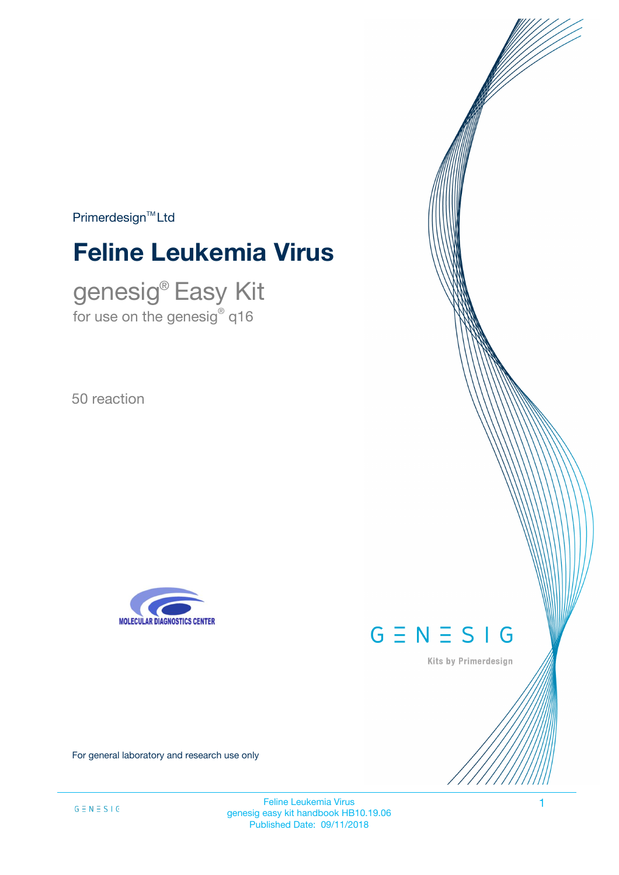$Primerdesign<sup>™</sup>Ltd$ 

# **Feline Leukemia Virus**

genesig® Easy Kit for use on the genesig $^\circ$  q16

50 reaction





Kits by Primerdesign

For general laboratory and research use only

Feline Leukemia Virus 1 genesig easy kit handbook HB10.19.06 Published Date: 09/11/2018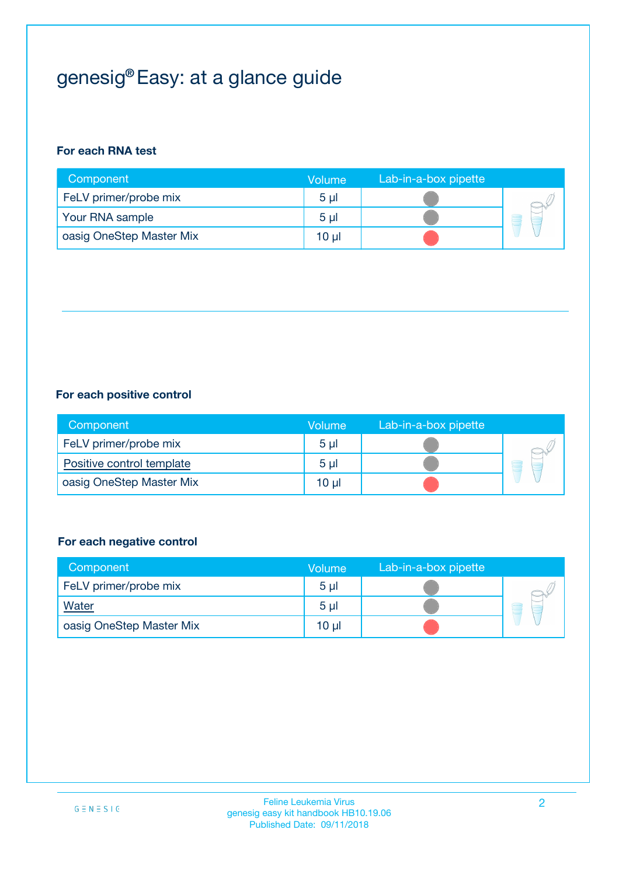## genesig® Easy: at a glance guide

#### **For each RNA test**

| Component                | <b>Volume</b>  | Lab-in-a-box pipette |  |
|--------------------------|----------------|----------------------|--|
| FeLV primer/probe mix    | 5 <sub>µ</sub> |                      |  |
| Your RNA sample          | 5 <sub>µ</sub> |                      |  |
| oasig OneStep Master Mix | 10 µl          |                      |  |

#### **For each positive control**

| Component                 | Volume         | Lab-in-a-box pipette |  |
|---------------------------|----------------|----------------------|--|
| FeLV primer/probe mix     | 5 <sub>µ</sub> |                      |  |
| Positive control template | 5 <sub>µ</sub> |                      |  |
| oasig OneStep Master Mix  | 10 µl          |                      |  |

#### **For each negative control**

| Component                | Volume         | Lab-in-a-box pipette |   |
|--------------------------|----------------|----------------------|---|
| FeLV primer/probe mix    | 5 <sub>µ</sub> |                      |   |
| <b>Water</b>             | 5 <sub>µ</sub> |                      | - |
| oasig OneStep Master Mix | 10 µl          |                      |   |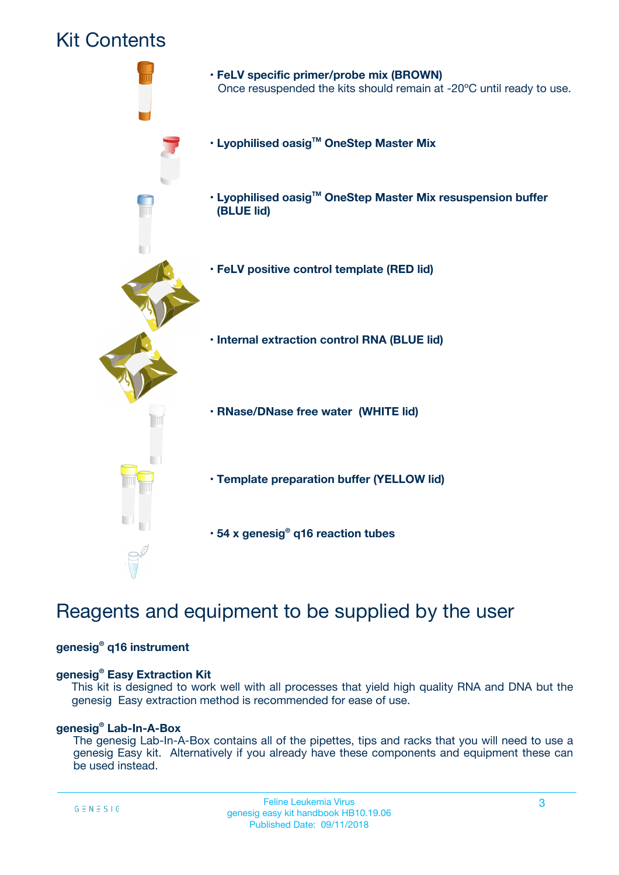### Kit Contents



## Reagents and equipment to be supplied by the user

#### **genesig® q16 instrument**

#### **genesig® Easy Extraction Kit**

This kit is designed to work well with all processes that yield high quality RNA and DNA but the genesig Easy extraction method is recommended for ease of use.

#### **genesig® Lab-In-A-Box**

The genesig Lab-In-A-Box contains all of the pipettes, tips and racks that you will need to use a genesig Easy kit. Alternatively if you already have these components and equipment these can be used instead.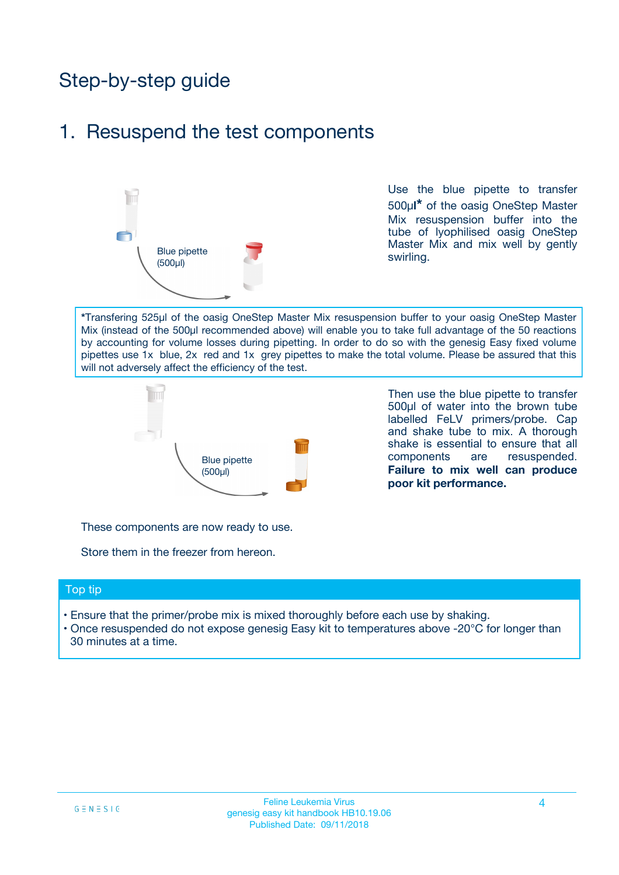## Step-by-step guide

### 1. Resuspend the test components



Use the blue pipette to transfer 500µ**l\*** of the oasig OneStep Master Mix resuspension buffer into the tube of lyophilised oasig OneStep Master Mix and mix well by gently swirling.

**\***Transfering 525µl of the oasig OneStep Master Mix resuspension buffer to your oasig OneStep Master Mix (instead of the 500µl recommended above) will enable you to take full advantage of the 50 reactions by accounting for volume losses during pipetting. In order to do so with the genesig Easy fixed volume pipettes use 1x blue, 2x red and 1x grey pipettes to make the total volume. Please be assured that this will not adversely affect the efficiency of the test.



Then use the blue pipette to transfer 500µl of water into the brown tube labelled FeLV primers/probe. Cap and shake tube to mix. A thorough shake is essential to ensure that all components are resuspended. **Failure to mix well can produce poor kit performance.**

These components are now ready to use.

Store them in the freezer from hereon.

#### Top tip

- Ensure that the primer/probe mix is mixed thoroughly before each use by shaking.
- Once resuspended do not expose genesig Easy kit to temperatures above -20°C for longer than 30 minutes at a time.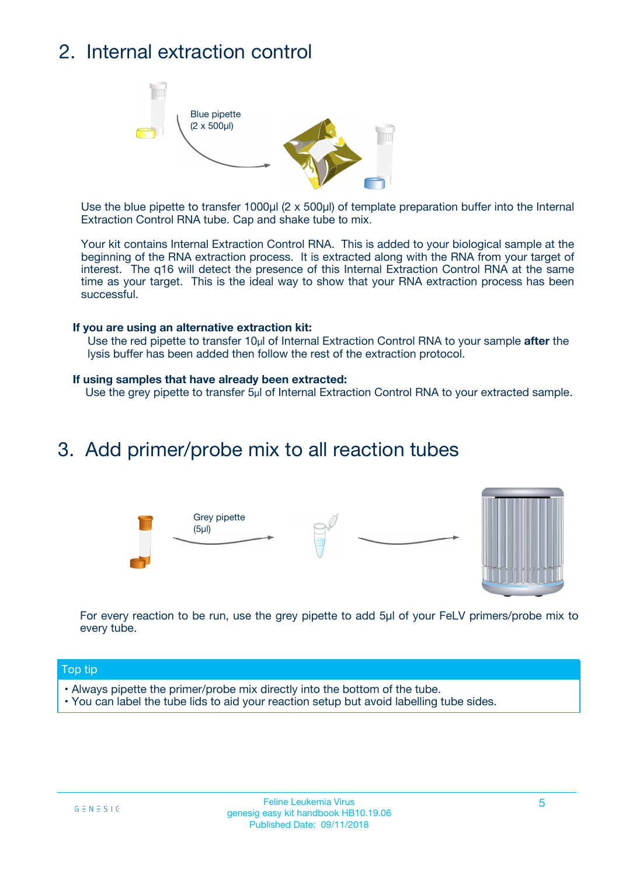## 2. Internal extraction control



Use the blue pipette to transfer 1000µl (2 x 500µl) of template preparation buffer into the Internal Extraction Control RNA tube. Cap and shake tube to mix.

Your kit contains Internal Extraction Control RNA. This is added to your biological sample at the beginning of the RNA extraction process. It is extracted along with the RNA from your target of interest. The q16 will detect the presence of this Internal Extraction Control RNA at the same time as your target. This is the ideal way to show that your RNA extraction process has been successful.

#### **If you are using an alternative extraction kit:**

Use the red pipette to transfer 10µl of Internal Extraction Control RNA to your sample **after** the lysis buffer has been added then follow the rest of the extraction protocol.

#### **If using samples that have already been extracted:**

Use the grey pipette to transfer 5µl of Internal Extraction Control RNA to your extracted sample.

### 3. Add primer/probe mix to all reaction tubes





For every reaction to be run, use the grey pipette to add 5µl of your FeLV primers/probe mix to every tube.

#### Top tip

- Always pipette the primer/probe mix directly into the bottom of the tube.
- You can label the tube lids to aid your reaction setup but avoid labelling tube sides.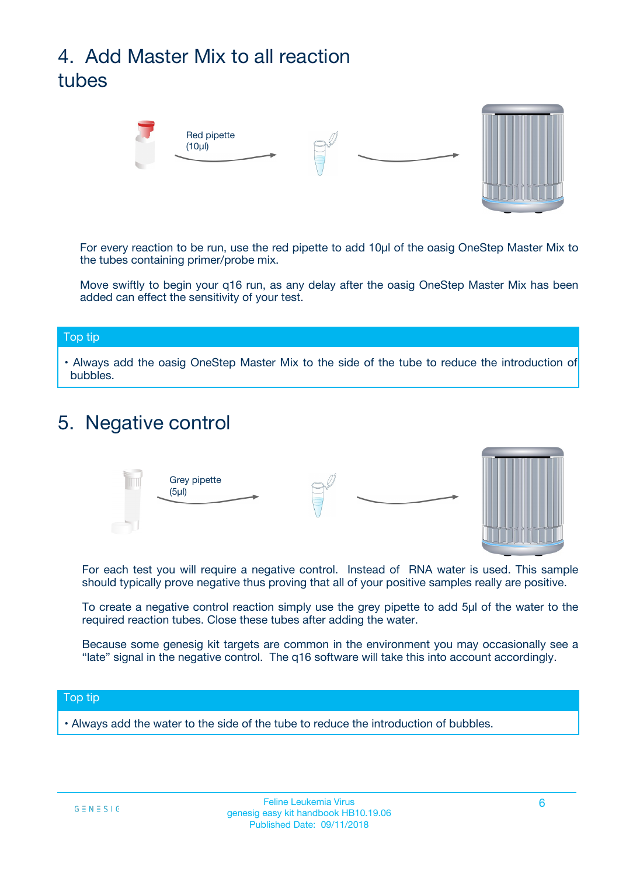## 4. Add Master Mix to all reaction tubes



For every reaction to be run, use the red pipette to add 10µl of the oasig OneStep Master Mix to the tubes containing primer/probe mix.

Move swiftly to begin your q16 run, as any delay after the oasig OneStep Master Mix has been added can effect the sensitivity of your test.

#### Top tip

**•** Always add the oasig OneStep Master Mix to the side of the tube to reduce the introduction of bubbles.

### 5. Negative control



For each test you will require a negative control. Instead of RNA water is used. This sample should typically prove negative thus proving that all of your positive samples really are positive.

To create a negative control reaction simply use the grey pipette to add 5µl of the water to the required reaction tubes. Close these tubes after adding the water.

Because some genesig kit targets are common in the environment you may occasionally see a "late" signal in the negative control. The q16 software will take this into account accordingly.

#### Top tip

**•** Always add the water to the side of the tube to reduce the introduction of bubbles.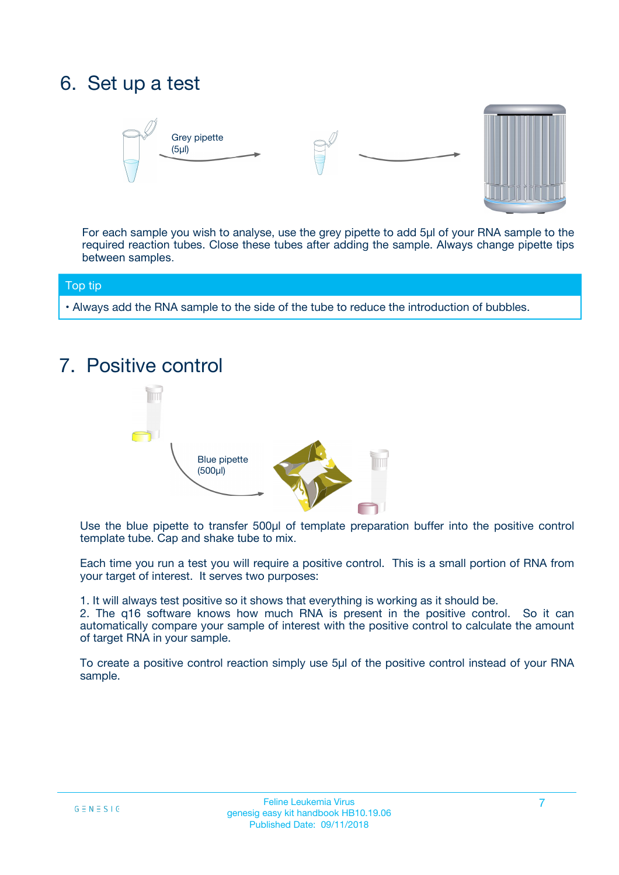## 6. Set up a test





For each sample you wish to analyse, use the grey pipette to add 5µl of your RNA sample to the required reaction tubes. Close these tubes after adding the sample. Always change pipette tips between samples.

#### Top tip

**•** Always add the RNA sample to the side of the tube to reduce the introduction of bubbles.

## 7. Positive control



Use the blue pipette to transfer 500µl of template preparation buffer into the positive control template tube. Cap and shake tube to mix.

Each time you run a test you will require a positive control. This is a small portion of RNA from your target of interest. It serves two purposes:

1. It will always test positive so it shows that everything is working as it should be.

2. The q16 software knows how much RNA is present in the positive control. So it can automatically compare your sample of interest with the positive control to calculate the amount of target RNA in your sample.

To create a positive control reaction simply use 5µl of the positive control instead of your RNA sample.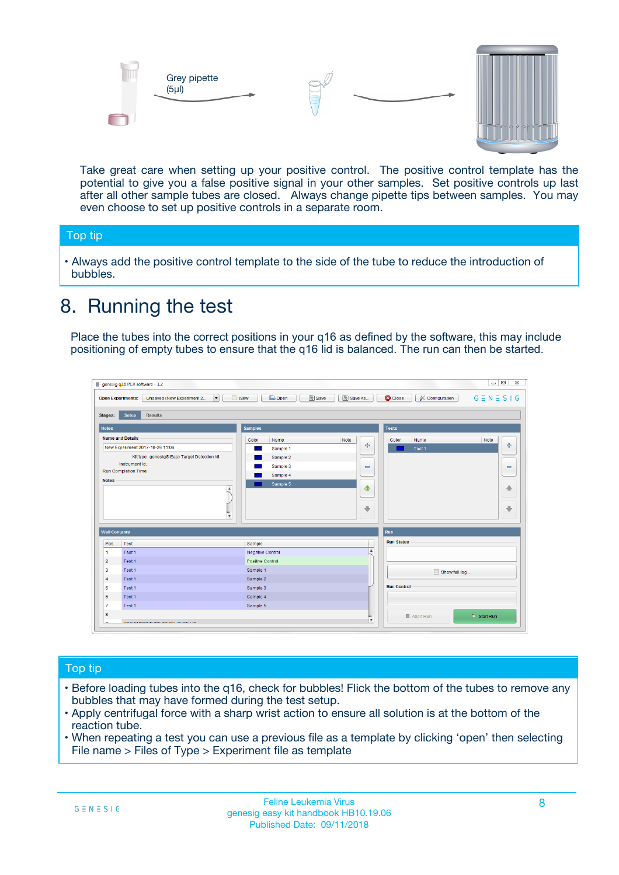



Take great care when setting up your positive control. The positive control template has the potential to give you a false positive signal in your other samples. Set positive controls up last after all other sample tubes are closed. Always change pipette tips between samples. You may even choose to set up positive controls in a separate room.

#### Top tip

**•** Always add the positive control template to the side of the tube to reduce the introduction of bubbles.

## 8. Running the test

Place the tubes into the correct positions in your q16 as defined by the software, this may include positioning of empty tubes to ensure that the q16 lid is balanced. The run can then be started.

|                      | genesig q16 PCR software - 1.2                                               |                                                | $= 0$<br>$\Sigma\!3$                                            |
|----------------------|------------------------------------------------------------------------------|------------------------------------------------|-----------------------------------------------------------------|
|                      | $\vert \cdot \vert$<br>Unsaved (New Experiment 2<br><b>Open Experiments:</b> | <b>E</b> Open<br>Save<br>Save As<br>$\Box$ New | <b>C</b> Close<br>$G \equiv N \equiv S \mid G$<br>Configuration |
| <b>Stages:</b>       | Setup<br><b>Results</b>                                                      |                                                |                                                                 |
| <b>Notes</b>         |                                                                              | <b>Samples</b>                                 | <b>Tests</b>                                                    |
|                      | <b>Name and Details</b>                                                      | Color<br>Note<br>Name                          | Name<br>Note<br>Color                                           |
|                      | New Experiment 2017-10-26 11:06                                              | على<br>Sample 1                                | $\ddot{\Phi}$<br>Test 1                                         |
|                      | Kit type: genesig® Easy Target Detection kit                                 | Sample 2                                       |                                                                 |
| Instrument Id.:      |                                                                              | Sample 3<br>$\equiv$                           | $\equiv$                                                        |
|                      | Run Completion Time:                                                         | Sample 4                                       |                                                                 |
| <b>Notes</b>         | $\blacktriangle$                                                             | Sample 5<br>♦                                  | 4                                                               |
|                      | $\overline{\mathbf{v}}$                                                      | ÷                                              | ⊕                                                               |
| <b>Well Contents</b> |                                                                              |                                                | Run                                                             |
| Pos.                 | Test                                                                         | Sample                                         | <b>Run Status</b>                                               |
| $\blacktriangleleft$ | Test 1                                                                       | $\blacktriangle$<br>Negative Control           |                                                                 |
| $\overline{2}$       | Test 1                                                                       | <b>Positive Control</b>                        |                                                                 |
| 3                    | Test 1                                                                       | Sample 1                                       | Show full log                                                   |
| $\overline{4}$       | Test 1                                                                       | Sample 2                                       |                                                                 |
| 5                    | Test 1                                                                       | Sample 3                                       | <b>Run Control</b>                                              |
| 6                    | Test 1                                                                       | Sample 4                                       |                                                                 |
| $\overline{7}$       | Test 1                                                                       | Sample 5                                       |                                                                 |
| 8                    |                                                                              |                                                | $\triangleright$ Start Run<br>Abort Run                         |
|                      | <b>INN FURTY TURE TO BUILDING UP.</b>                                        | $\pmb{\triangledown}$                          |                                                                 |

#### Top tip

- Before loading tubes into the q16, check for bubbles! Flick the bottom of the tubes to remove any bubbles that may have formed during the test setup.
- Apply centrifugal force with a sharp wrist action to ensure all solution is at the bottom of the reaction tube.
- When repeating a test you can use a previous file as a template by clicking 'open' then selecting File name > Files of Type > Experiment file as template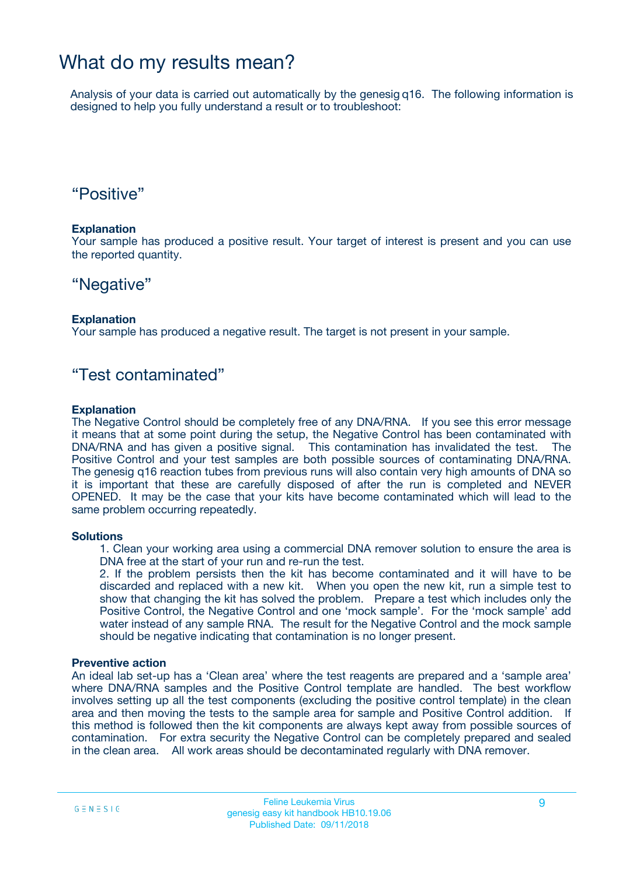### What do my results mean?

Analysis of your data is carried out automatically by the genesig q16. The following information is designed to help you fully understand a result or to troubleshoot:

### "Positive"

#### **Explanation**

Your sample has produced a positive result. Your target of interest is present and you can use the reported quantity.

### "Negative"

#### **Explanation**

Your sample has produced a negative result. The target is not present in your sample.

### "Test contaminated"

#### **Explanation**

The Negative Control should be completely free of any DNA/RNA. If you see this error message it means that at some point during the setup, the Negative Control has been contaminated with DNA/RNA and has given a positive signal. This contamination has invalidated the test. The Positive Control and your test samples are both possible sources of contaminating DNA/RNA. The genesig q16 reaction tubes from previous runs will also contain very high amounts of DNA so it is important that these are carefully disposed of after the run is completed and NEVER OPENED. It may be the case that your kits have become contaminated which will lead to the same problem occurring repeatedly.

#### **Solutions**

1. Clean your working area using a commercial DNA remover solution to ensure the area is DNA free at the start of your run and re-run the test.

2. If the problem persists then the kit has become contaminated and it will have to be discarded and replaced with a new kit. When you open the new kit, run a simple test to show that changing the kit has solved the problem. Prepare a test which includes only the Positive Control, the Negative Control and one 'mock sample'. For the 'mock sample' add water instead of any sample RNA. The result for the Negative Control and the mock sample should be negative indicating that contamination is no longer present.

#### **Preventive action**

An ideal lab set-up has a 'Clean area' where the test reagents are prepared and a 'sample area' where DNA/RNA samples and the Positive Control template are handled. The best workflow involves setting up all the test components (excluding the positive control template) in the clean area and then moving the tests to the sample area for sample and Positive Control addition. If this method is followed then the kit components are always kept away from possible sources of contamination. For extra security the Negative Control can be completely prepared and sealed in the clean area. All work areas should be decontaminated regularly with DNA remover.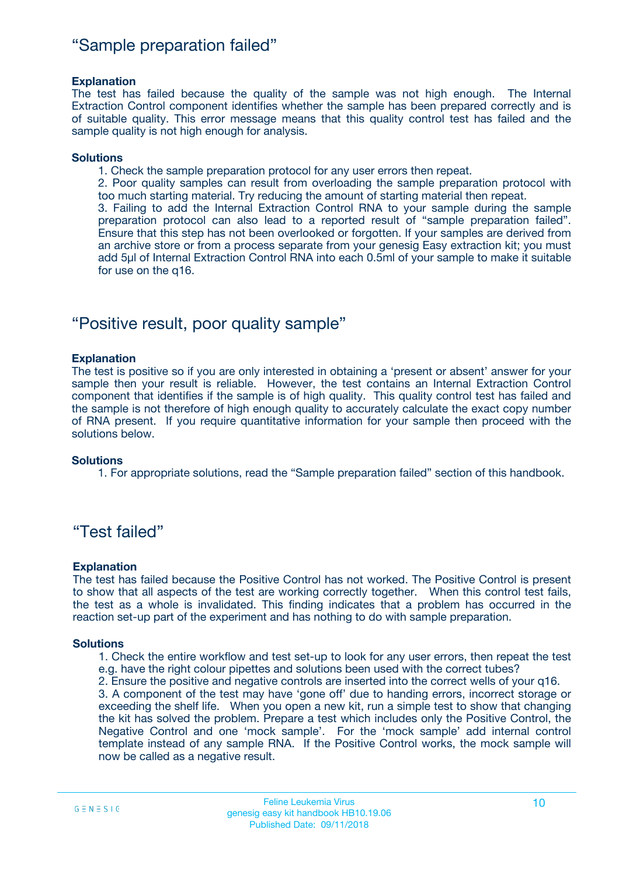### "Sample preparation failed"

#### **Explanation**

The test has failed because the quality of the sample was not high enough. The Internal Extraction Control component identifies whether the sample has been prepared correctly and is of suitable quality. This error message means that this quality control test has failed and the sample quality is not high enough for analysis.

#### **Solutions**

1. Check the sample preparation protocol for any user errors then repeat.

2. Poor quality samples can result from overloading the sample preparation protocol with too much starting material. Try reducing the amount of starting material then repeat.

3. Failing to add the Internal Extraction Control RNA to your sample during the sample preparation protocol can also lead to a reported result of "sample preparation failed". Ensure that this step has not been overlooked or forgotten. If your samples are derived from an archive store or from a process separate from your genesig Easy extraction kit; you must add 5µl of Internal Extraction Control RNA into each 0.5ml of your sample to make it suitable for use on the q16.

### "Positive result, poor quality sample"

#### **Explanation**

The test is positive so if you are only interested in obtaining a 'present or absent' answer for your sample then your result is reliable. However, the test contains an Internal Extraction Control component that identifies if the sample is of high quality. This quality control test has failed and the sample is not therefore of high enough quality to accurately calculate the exact copy number of RNA present. If you require quantitative information for your sample then proceed with the solutions below.

#### **Solutions**

1. For appropriate solutions, read the "Sample preparation failed" section of this handbook.

### "Test failed"

#### **Explanation**

The test has failed because the Positive Control has not worked. The Positive Control is present to show that all aspects of the test are working correctly together. When this control test fails, the test as a whole is invalidated. This finding indicates that a problem has occurred in the reaction set-up part of the experiment and has nothing to do with sample preparation.

#### **Solutions**

- 1. Check the entire workflow and test set-up to look for any user errors, then repeat the test e.g. have the right colour pipettes and solutions been used with the correct tubes?
- 2. Ensure the positive and negative controls are inserted into the correct wells of your q16.

3. A component of the test may have 'gone off' due to handing errors, incorrect storage or exceeding the shelf life. When you open a new kit, run a simple test to show that changing the kit has solved the problem. Prepare a test which includes only the Positive Control, the Negative Control and one 'mock sample'. For the 'mock sample' add internal control template instead of any sample RNA. If the Positive Control works, the mock sample will now be called as a negative result.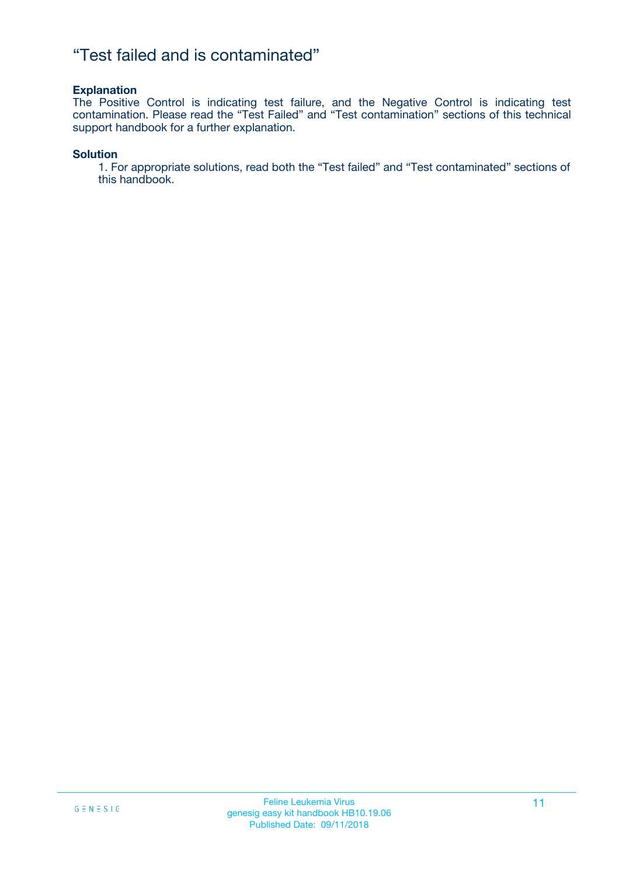### "Test failed and is contaminated"

#### **Explanation**

The Positive Control is indicating test failure, and the Negative Control is indicating test contamination. Please read the "Test Failed" and "Test contamination" sections of this technical support handbook for a further explanation.

#### **Solution**

1. For appropriate solutions, read both the "Test failed" and "Test contaminated" sections of this handbook.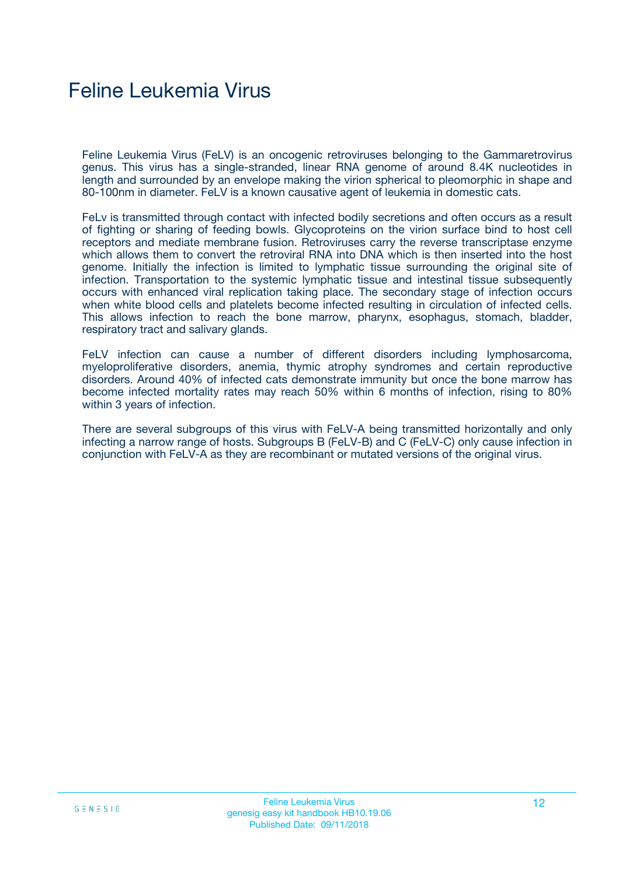## Feline Leukemia Virus

Feline Leukemia Virus (FeLV) is an oncogenic retroviruses belonging to the Gammaretrovirus genus. This virus has a single-stranded, linear RNA genome of around 8.4K nucleotides in length and surrounded by an envelope making the virion spherical to pleomorphic in shape and 80-100nm in diameter. FeLV is a known causative agent of leukemia in domestic cats.

FeLv is transmitted through contact with infected bodily secretions and often occurs as a result of fighting or sharing of feeding bowls. Glycoproteins on the virion surface bind to host cell receptors and mediate membrane fusion. Retroviruses carry the reverse transcriptase enzyme which allows them to convert the retroviral RNA into DNA which is then inserted into the host genome. Initially the infection is limited to lymphatic tissue surrounding the original site of infection. Transportation to the systemic lymphatic tissue and intestinal tissue subsequently occurs with enhanced viral replication taking place. The secondary stage of infection occurs when white blood cells and platelets become infected resulting in circulation of infected cells. This allows infection to reach the bone marrow, pharynx, esophagus, stomach, bladder, respiratory tract and salivary glands.

FeLV infection can cause a number of different disorders including lymphosarcoma, myeloproliferative disorders, anemia, thymic atrophy syndromes and certain reproductive disorders. Around 40% of infected cats demonstrate immunity but once the bone marrow has become infected mortality rates may reach 50% within 6 months of infection, rising to 80% within 3 years of infection.

There are several subgroups of this virus with FeLV-A being transmitted horizontally and only infecting a narrow range of hosts. Subgroups B (FeLV-B) and C (FeLV-C) only cause infection in conjunction with FeLV-A as they are recombinant or mutated versions of the original virus.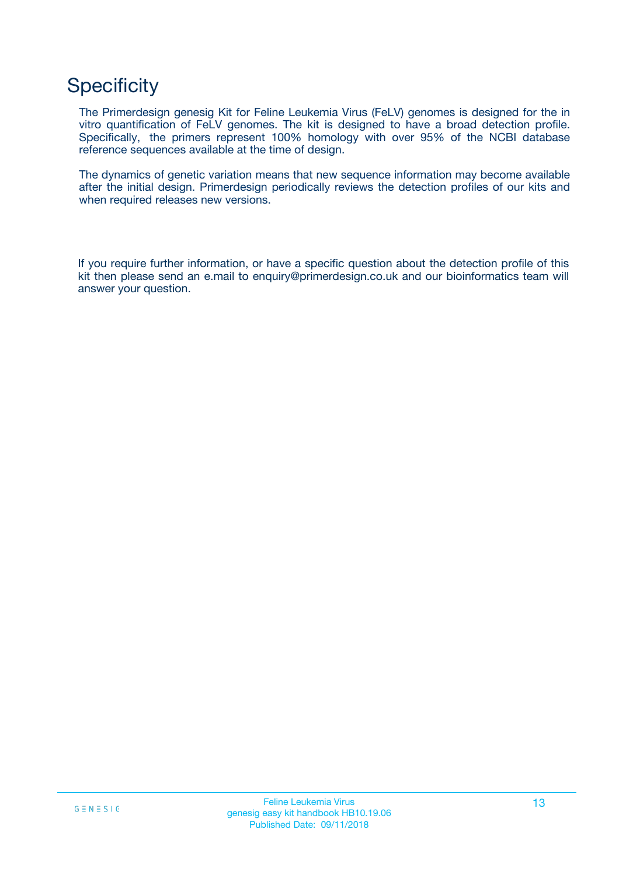## **Specificity**

The Primerdesign genesig Kit for Feline Leukemia Virus (FeLV) genomes is designed for the in vitro quantification of FeLV genomes. The kit is designed to have a broad detection profile. Specifically, the primers represent 100% homology with over 95% of the NCBI database reference sequences available at the time of design.

The dynamics of genetic variation means that new sequence information may become available after the initial design. Primerdesign periodically reviews the detection profiles of our kits and when required releases new versions.

If you require further information, or have a specific question about the detection profile of this kit then please send an e.mail to enquiry@primerdesign.co.uk and our bioinformatics team will answer your question.